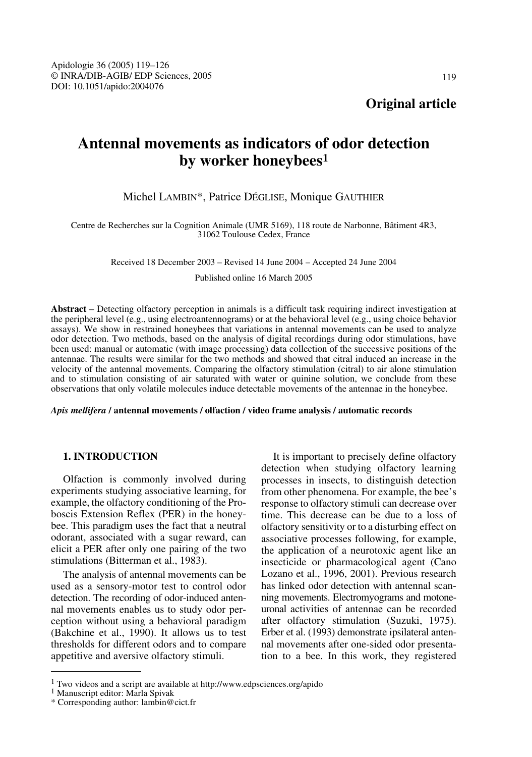# **Antennal movements as indicators of odor detection by worker honeybees1**

# Michel LAMBIN\*, Patrice DÉGLISE, Monique GAUTHIER

Centre de Recherches sur la Cognition Animale (UMR 5169), 118 route de Narbonne, Bâtiment 4R3, 31062 Toulouse Cedex, France

Received 18 December 2003 – Revised 14 June 2004 – Accepted 24 June 2004

Published online 16 March 2005

**Abstract** – Detecting olfactory perception in animals is a difficult task requiring indirect investigation at the peripheral level (e.g., using electroantennograms) or at the behavioral level (e.g., using choice behavior assays). We show in restrained honeybees that variations in antennal movements can be used to analyze odor detection. Two methods, based on the analysis of digital recordings during odor stimulations, have been used: manual or automatic (with image processing) data collection of the successive positions of the antennae. The results were similar for the two methods and showed that citral induced an increase in the velocity of the antennal movements. Comparing the olfactory stimulation (citral) to air alone stimulation and to stimulation consisting of air saturated with water or quinine solution, we conclude from these observations that only volatile molecules induce detectable movements of the antennae in the honeybee.

# *Apis mellifera* **/ antennal movements / olfaction / video frame analysis / automatic records**

# **1. INTRODUCTION**

Olfaction is commonly involved during experiments studying associative learning, for example, the olfactory conditioning of the Proboscis Extension Reflex (PER) in the honeybee. This paradigm uses the fact that a neutral odorant, associated with a sugar reward, can elicit a PER after only one pairing of the two stimulations (Bitterman et al., 1983).

The analysis of antennal movements can be used as a sensory-motor test to control odor detection. The recording of odor-induced antennal movements enables us to study odor perception without using a behavioral paradigm (Bakchine et al., 1990). It allows us to test thresholds for different odors and to compare appetitive and aversive olfactory stimuli.

It is important to precisely define olfactory detection when studying olfactory learning processes in insects, to distinguish detection from other phenomena. For example, the bee's response to olfactory stimuli can decrease over time. This decrease can be due to a loss of olfactory sensitivity or to a disturbing effect on associative processes following, for example, the application of a neurotoxic agent like an insecticide or pharmacological agent (Cano Lozano et al., 1996, 2001). Previous research has linked odor detection with antennal scanning movements. Electromyograms and motoneuronal activities of antennae can be recorded after olfactory stimulation (Suzuki, 1975). Erber et al. (1993) demonstrate ipsilateral antennal movements after one-sided odor presentation to a bee. In this work, they registered

 $^1$  Two videos and a script are available at http://www.edpsciences.org/apido $^1$ Manuscript editor: Marla Spivak

<sup>\*</sup> Corresponding author: lambin@cict.fr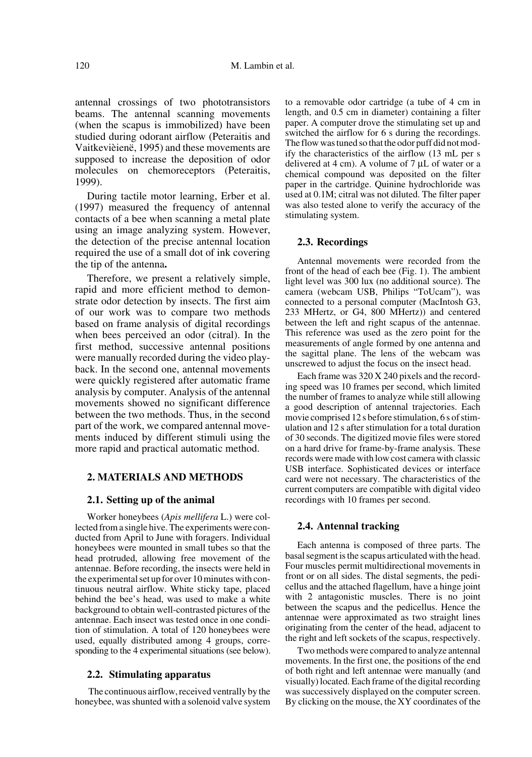antennal crossings of two phototransistors beams. The antennal scanning movements (when the scapus is immobilized) have been studied during odorant airflow (Peteraitis and Vaitkevièienë, 1995) and these movements are supposed to increase the deposition of odor molecules on chemoreceptors (Peteraitis, 1999).

During tactile motor learning, Erber et al. (1997) measured the frequency of antennal contacts of a bee when scanning a metal plate using an image analyzing system. However, the detection of the precise antennal location required the use of a small dot of ink covering the tip of the antenna**.**

Therefore, we present a relatively simple, rapid and more efficient method to demonstrate odor detection by insects. The first aim of our work was to compare two methods based on frame analysis of digital recordings when bees perceived an odor (citral). In the first method, successive antennal positions were manually recorded during the video playback. In the second one, antennal movements were quickly registered after automatic frame analysis by computer. Analysis of the antennal movements showed no significant difference between the two methods. Thus, in the second part of the work, we compared antennal movements induced by different stimuli using the more rapid and practical automatic method.

# **2. MATERIALS AND METHODS**

# **2.1. Setting up of the animal**

Worker honeybees (*Apis mellifera* L.) were collected from a single hive. The experiments were conducted from April to June with foragers. Individual honeybees were mounted in small tubes so that the head protruded, allowing free movement of the antennae. Before recording, the insects were held in the experimental set up for over 10 minutes with continuous neutral airflow. White sticky tape, placed behind the bee's head, was used to make a white background to obtain well-contrasted pictures of the antennae. Each insect was tested once in one condition of stimulation. A total of 120 honeybees were used, equally distributed among 4 groups, corresponding to the 4 experimental situations (see below).

#### **2.2. Stimulating apparatus**

 The continuous airflow, received ventrally by the honeybee, was shunted with a solenoid valve system to a removable odor cartridge (a tube of 4 cm in length, and 0.5 cm in diameter) containing a filter paper. A computer drove the stimulating set up and switched the airflow for 6 s during the recordings. The flow was tuned so that the odor puff did not modify the characteristics of the airflow (13 mL per s delivered at 4 cm). A volume of 7 µL of water or a chemical compound was deposited on the filter paper in the cartridge. Quinine hydrochloride was used at 0.1M; citral was not diluted. The filter paper was also tested alone to verify the accuracy of the stimulating system.

# **2.3. Recordings**

Antennal movements were recorded from the front of the head of each bee (Fig. 1). The ambient light level was 300 lux (no additional source). The camera (webcam USB, Philips "ToUcam"), was connected to a personal computer (MacIntosh G3, 233 MHertz, or G4, 800 MHertz)) and centered between the left and right scapus of the antennae. This reference was used as the zero point for the measurements of angle formed by one antenna and the sagittal plane. The lens of the webcam was unscrewed to adjust the focus on the insect head.

Each frame was 320 X 240 pixels and the recording speed was 10 frames per second, which limited the number of frames to analyze while still allowing a good description of antennal trajectories. Each movie comprised 12 s before stimulation, 6 s of stimulation and 12 s after stimulation for a total duration of 30 seconds. The digitized movie files were stored on a hard drive for frame-by-frame analysis. These records were made with low cost camera with classic USB interface. Sophisticated devices or interface card were not necessary. The characteristics of the current computers are compatible with digital video recordings with 10 frames per second.

# **2.4. Antennal tracking**

Each antenna is composed of three parts. The basal segment is the scapus articulated with the head. Four muscles permit multidirectional movements in front or on all sides. The distal segments, the pedicellus and the attached flagellum, have a hinge joint with 2 antagonistic muscles. There is no joint between the scapus and the pedicellus. Hence the antennae were approximated as two straight lines originating from the center of the head, adjacent to the right and left sockets of the scapus, respectively.

Two methods were compared to analyze antennal movements. In the first one, the positions of the end of both right and left antennae were manually (and visually) located. Each frame of the digital recording was successively displayed on the computer screen. By clicking on the mouse, the XY coordinates of the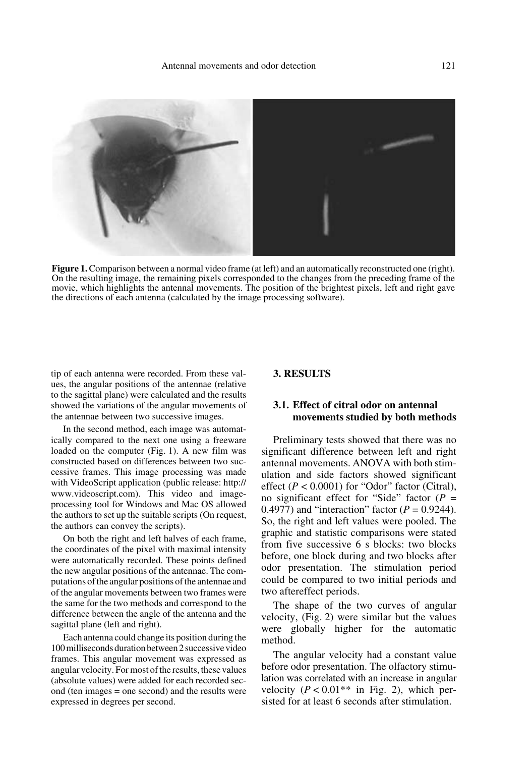

**Figure 1.** Comparison between a normal video frame (at left) and an automatically reconstructed one (right). On the resulting image, the remaining pixels corresponded to the changes from the preceding frame of the movie, which highlights the antennal movements. The position of the brightest pixels, left and right gave the directions of each antenna (calculated by the image processing software).

tip of each antenna were recorded. From these values, the angular positions of the antennae (relative to the sagittal plane) were calculated and the results showed the variations of the angular movements of the antennae between two successive images.

In the second method, each image was automatically compared to the next one using a freeware loaded on the computer (Fig. 1). A new film was constructed based on differences between two successive frames. This image processing was made with VideoScript application (public release: http:// www.videoscript.com). This video and imageprocessing tool for Windows and Mac OS allowed the authors to set up the suitable scripts (On request, the authors can convey the scripts).

On both the right and left halves of each frame, the coordinates of the pixel with maximal intensity were automatically recorded. These points defined the new angular positions of the antennae. The computations of the angular positions of the antennae and of the angular movements between two frames were the same for the two methods and correspond to the difference between the angle of the antenna and the sagittal plane (left and right).

Each antenna could change its position during the 100 milliseconds duration between 2 successive video frames. This angular movement was expressed as angular velocity. For most of the results, these values (absolute values) were added for each recorded second (ten images = one second) and the results were expressed in degrees per second.

# **3. RESULTS**

# **3.1. Effect of citral odor on antennal movements studied by both methods**

Preliminary tests showed that there was no significant difference between left and right antennal movements. ANOVA with both stimulation and side factors showed significant effect  $(P < 0.0001)$  for "Odor" factor (Citral), no significant effect for "Side" factor (*P* = 0.4977) and "interaction" factor  $(P = 0.9244)$ . So, the right and left values were pooled. The graphic and statistic comparisons were stated from five successive 6 s blocks: two blocks before, one block during and two blocks after odor presentation. The stimulation period could be compared to two initial periods and two aftereffect periods.

The shape of the two curves of angular velocity, (Fig. 2) were similar but the values were globally higher for the automatic method.

The angular velocity had a constant value before odor presentation. The olfactory stimulation was correlated with an increase in angular velocity  $(P < 0.01**$  in Fig. 2), which persisted for at least 6 seconds after stimulation.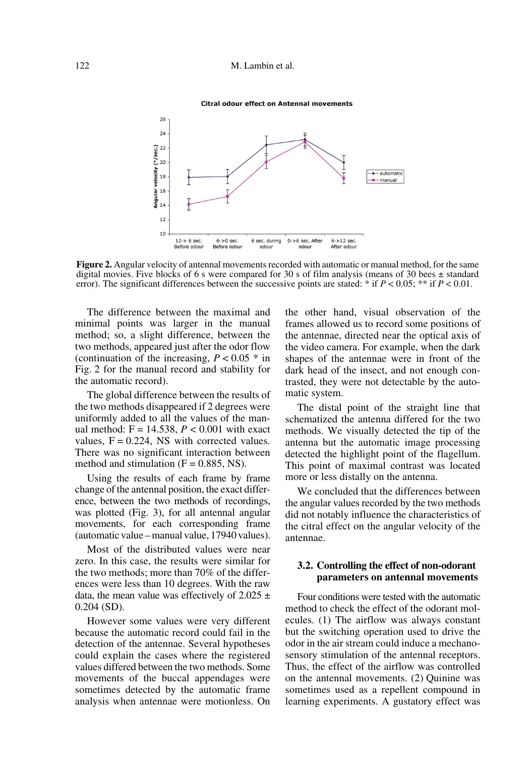# 122 M. Lambin et al.

#### **Citral odour effect on Antennal movements**



**Figure 2.** Angular velocity of antennal movements recorded with automatic or manual method, for the same digital movies. Five blocks of 6 s were compared for 30 s of film analysis (means of 30 bees  $\pm$  standard error). The significant differences between the successive points are stated: \* if *P* < 0.05; \*\* if *P* < 0.01.

The difference between the maximal and minimal points was larger in the manual method; so, a slight difference, between the two methods, appeared just after the odor flow (continuation of the increasing,  $P < 0.05$  \* in Fig. 2 for the manual record and stability for the automatic record).

The global difference between the results of the two methods disappeared if 2 degrees were uniformly added to all the values of the manual method:  $F = 14.538$ ,  $P < 0.001$  with exact values,  $F = 0.224$ , NS with corrected values. There was no significant interaction between method and stimulation  $(F = 0.885, NS)$ .

Using the results of each frame by frame change of the antennal position, the exact difference, between the two methods of recordings, was plotted (Fig. 3), for all antennal angular movements, for each corresponding frame (automatic value – manual value, 17940 values).

Most of the distributed values were near zero. In this case, the results were similar for the two methods; more than 70% of the differences were less than 10 degrees. With the raw data, the mean value was effectively of  $2.025 \pm$ 0.204 (SD).

However some values were very different because the automatic record could fail in the detection of the antennae. Several hypotheses could explain the cases where the registered values differed between the two methods. Some movements of the buccal appendages were sometimes detected by the automatic frame analysis when antennae were motionless. On

the other hand, visual observation of the frames allowed us to record some positions of the antennae, directed near the optical axis of the video camera. For example, when the dark shapes of the antennae were in front of the dark head of the insect, and not enough contrasted, they were not detectable by the automatic system.

The distal point of the straight line that schematized the antenna differed for the two methods. We visually detected the tip of the antenna but the automatic image processing detected the highlight point of the flagellum. This point of maximal contrast was located more or less distally on the antenna.

We concluded that the differences between the angular values recorded by the two methods did not notably influence the characteristics of the citral effect on the angular velocity of the antennae.

# **3.2. Controlling the effect of non-odorant parameters on antennal movements**

Four conditions were tested with the automatic method to check the effect of the odorant molecules. (1) The airflow was always constant but the switching operation used to drive the odor in the air stream could induce a mechanosensory stimulation of the antennal receptors. Thus, the effect of the airflow was controlled on the antennal movements. (2) Quinine was sometimes used as a repellent compound in learning experiments. A gustatory effect was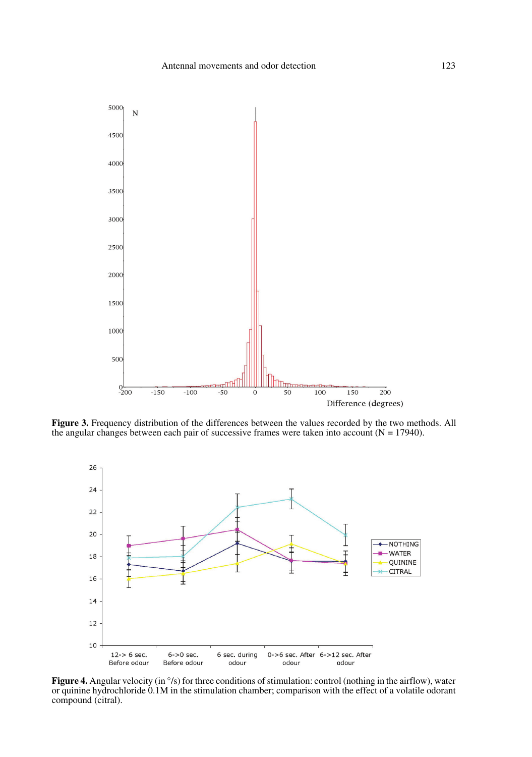

**Figure 3.** Frequency distribution of the differences between the values recorded by the two methods. All the angular changes between each pair of successive frames were taken into account  $(N = 17940)$ .



**Figure 4.** Angular velocity (in  $\degree$ /s) for three conditions of stimulation: control (nothing in the airflow), water or quinine hydrochloride 0.1M in the stimulation chamber; comparison with the effect of a volatile odorant compound (citral).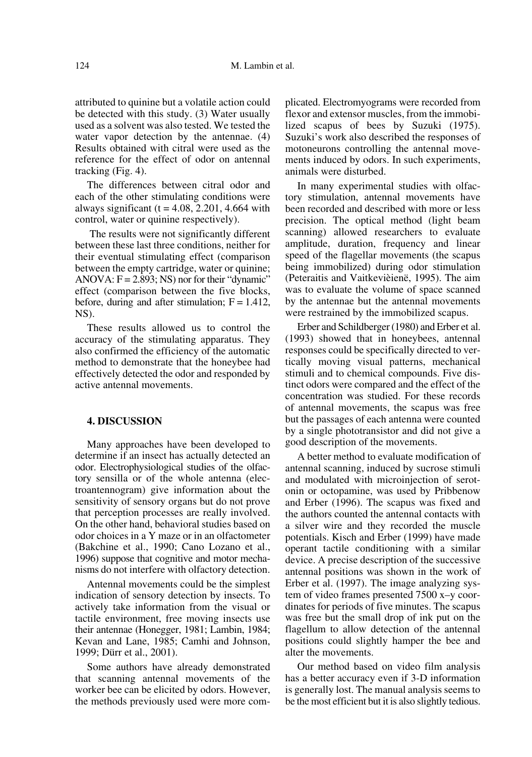attributed to quinine but a volatile action could be detected with this study. (3) Water usually used as a solvent was also tested. We tested the water vapor detection by the antennae.  $(4)$ Results obtained with citral were used as the reference for the effect of odor on antennal tracking (Fig. 4).

The differences between citral odor and each of the other stimulating conditions were always significant ( $t = 4.08$ , 2.201, 4.664 with control, water or quinine respectively).

 The results were not significantly different between these last three conditions, neither for their eventual stimulating effect (comparison between the empty cartridge, water or quinine; ANOVA:  $F = 2.893$ ; NS) nor for their "dynamic" effect (comparison between the five blocks, before, during and after stimulation;  $F = 1.412$ , NS).

These results allowed us to control the accuracy of the stimulating apparatus. They also confirmed the efficiency of the automatic method to demonstrate that the honeybee had effectively detected the odor and responded by active antennal movements.

# **4. DISCUSSION**

Many approaches have been developed to determine if an insect has actually detected an odor. Electrophysiological studies of the olfactory sensilla or of the whole antenna (electroantennogram) give information about the sensitivity of sensory organs but do not prove that perception processes are really involved. On the other hand, behavioral studies based on odor choices in a Y maze or in an olfactometer (Bakchine et al., 1990; Cano Lozano et al., 1996) suppose that cognitive and motor mechanisms do not interfere with olfactory detection.

Antennal movements could be the simplest indication of sensory detection by insects. To actively take information from the visual or tactile environment, free moving insects use their antennae (Honegger, 1981; Lambin, 1984; Kevan and Lane, 1985; Camhi and Johnson, 1999; Dürr et al., 2001).

Some authors have already demonstrated that scanning antennal movements of the worker bee can be elicited by odors. However, the methods previously used were more complicated. Electromyograms were recorded from flexor and extensor muscles, from the immobilized scapus of bees by Suzuki (1975). Suzuki's work also described the responses of motoneurons controlling the antennal movements induced by odors. In such experiments, animals were disturbed.

In many experimental studies with olfactory stimulation, antennal movements have been recorded and described with more or less precision. The optical method (light beam scanning) allowed researchers to evaluate amplitude, duration, frequency and linear speed of the flagellar movements (the scapus being immobilized) during odor stimulation (Peteraitis and Vaitkevièienë, 1995). The aim was to evaluate the volume of space scanned by the antennae but the antennal movements were restrained by the immobilized scapus.

Erber and Schildberger (1980) and Erber et al. (1993) showed that in honeybees, antennal responses could be specifically directed to vertically moving visual patterns, mechanical stimuli and to chemical compounds. Five distinct odors were compared and the effect of the concentration was studied. For these records of antennal movements, the scapus was free but the passages of each antenna were counted by a single phototransistor and did not give a good description of the movements.

A better method to evaluate modification of antennal scanning, induced by sucrose stimuli and modulated with microinjection of serotonin or octopamine, was used by Pribbenow and Erber (1996). The scapus was fixed and the authors counted the antennal contacts with a silver wire and they recorded the muscle potentials. Kisch and Erber (1999) have made operant tactile conditioning with a similar device. A precise description of the successive antennal positions was shown in the work of Erber et al. (1997). The image analyzing system of video frames presented 7500 x–y coordinates for periods of five minutes. The scapus was free but the small drop of ink put on the flagellum to allow detection of the antennal positions could slightly hamper the bee and alter the movements.

Our method based on video film analysis has a better accuracy even if 3-D information is generally lost. The manual analysis seems to be the most efficient but it is also slightly tedious.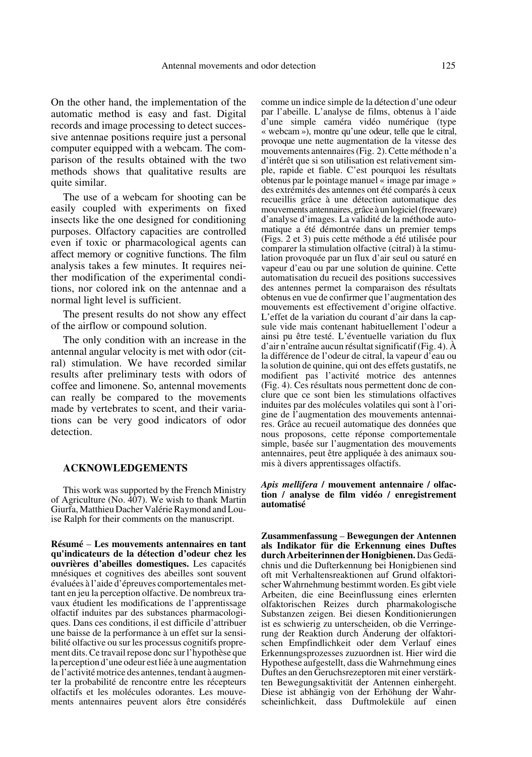On the other hand, the implementation of the automatic method is easy and fast. Digital records and image processing to detect successive antennae positions require just a personal computer equipped with a webcam. The comparison of the results obtained with the two methods shows that qualitative results are quite similar.

The use of a webcam for shooting can be easily coupled with experiments on fixed insects like the one designed for conditioning purposes. Olfactory capacities are controlled even if toxic or pharmacological agents can affect memory or cognitive functions. The film analysis takes a few minutes. It requires neither modification of the experimental conditions, nor colored ink on the antennae and a normal light level is sufficient.

The present results do not show any effect of the airflow or compound solution.

The only condition with an increase in the antennal angular velocity is met with odor (citral) stimulation. We have recorded similar results after preliminary tests with odors of coffee and limonene. So, antennal movements can really be compared to the movements made by vertebrates to scent, and their variations can be very good indicators of odor detection.

# **ACKNOWLEDGEMENTS**

This work was supported by the French Ministry of Agriculture (No. 407). We wish to thank Martin Giurfa, Matthieu Dacher Valérie Raymond and Louise Ralph for their comments on the manuscript.

**Résumé** – **Les mouvements antennaires en tant qu'indicateurs de la détection d'odeur chez les ouvrières d'abeilles domestiques.** Les capacités mnésiques et cognitives des abeilles sont souvent évaluées à l'aide d'épreuves comportementales mettant en jeu la perception olfactive. De nombreux travaux étudient les modifications de l'apprentissage olfactif induites par des substances pharmacologiques. Dans ces conditions, il est difficile d'attribuer une baisse de la performance à un effet sur la sensibilité olfactive ou sur les processus cognitifs proprement dits. Ce travail repose donc sur l'hypothèse que la perception d'une odeur est liée à une augmentation de l'activité motrice des antennes, tendant à augmenter la probabilité de rencontre entre les récepteurs olfactifs et les molécules odorantes. Les mouvements antennaires peuvent alors être considérés comme un indice simple de la détection d'une odeur par l'abeille. L'analyse de films, obtenus à l'aide d'une simple caméra vidéo numérique (type « webcam »), montre qu'une odeur, telle que le citral, provoque une nette augmentation de la vitesse des mouvements antennaires (Fig. 2). Cette méthode n'a d'intérêt que si son utilisation est relativement simple, rapide et fiable. C'est pourquoi les résultats obtenus par le pointage manuel « image par image » des extrémités des antennes ont été comparés à ceux recueillis grâce à une détection automatique des mouvements antennaires, grâce à un logiciel (freeware) d'analyse d'images. La validité de la méthode automatique a été démontrée dans un premier temps (Figs. 2 et 3) puis cette méthode a été utilisée pour comparer la stimulation olfactive (citral) à la stimulation provoquée par un flux d'air seul ou saturé en vapeur d'eau ou par une solution de quinine. Cette automatisation du recueil des positions successives des antennes permet la comparaison des résultats obtenus en vue de confirmer que l'augmentation des mouvements est effectivement d'origine olfactive. L'effet de la variation du courant d'air dans la capsule vide mais contenant habituellement l'odeur a ainsi pu être testé. L'éventuelle variation du flux d'air n'entraîne aucun résultat significatif (Fig. 4). À la différence de l'odeur de citral, la vapeur d'eau ou la solution de quinine, qui ont des effets gustatifs, ne modifient pas l'activité motrice des antennes (Fig. 4). Ces résultats nous permettent donc de conclure que ce sont bien les stimulations olfactives induites par des molécules volatiles qui sont à l'origine de l'augmentation des mouvements antennaires. Grâce au recueil automatique des données que nous proposons, cette réponse comportementale simple, basée sur l'augmentation des mouvements antennaires, peut être appliquée à des animaux soumis à divers apprentissages olfactifs.

#### *Apis mellifera* **/ mouvement antennaire / olfaction / analyse de film vidéo / enregistrement automatisé**

**Zusammenfassung** – **Bewegungen der Antennen als Indikator für die Erkennung eines Duftes durch Arbeiterinnen der Honigbienen.** Das Gedächnis und die Dufterkennung bei Honigbienen sind oft mit Verhaltensreaktionen auf Grund olfaktorischer Wahrnehmung bestimmt worden. Es gibt viele Arbeiten, die eine Beeinflussung eines erlernten olfaktorischen Reizes durch pharmakologische Substanzen zeigen. Bei diesen Konditionierungen ist es schwierig zu unterscheiden, ob die Verringerung der Reaktion durch Änderung der olfaktorischen Empfindlichkeit oder dem Verlauf eines Erkennungsprozesses zuzuordnen ist. Hier wird die Hypothese aufgestellt, dass die Wahrnehmung eines Duftes an den Geruchsrezeptoren mit einer verstärkten Bewegungsaktivität der Antennen einhergeht. Diese ist abhängig von der Erhöhung der Wahrscheinlichkeit, dass Duftmoleküle auf einen